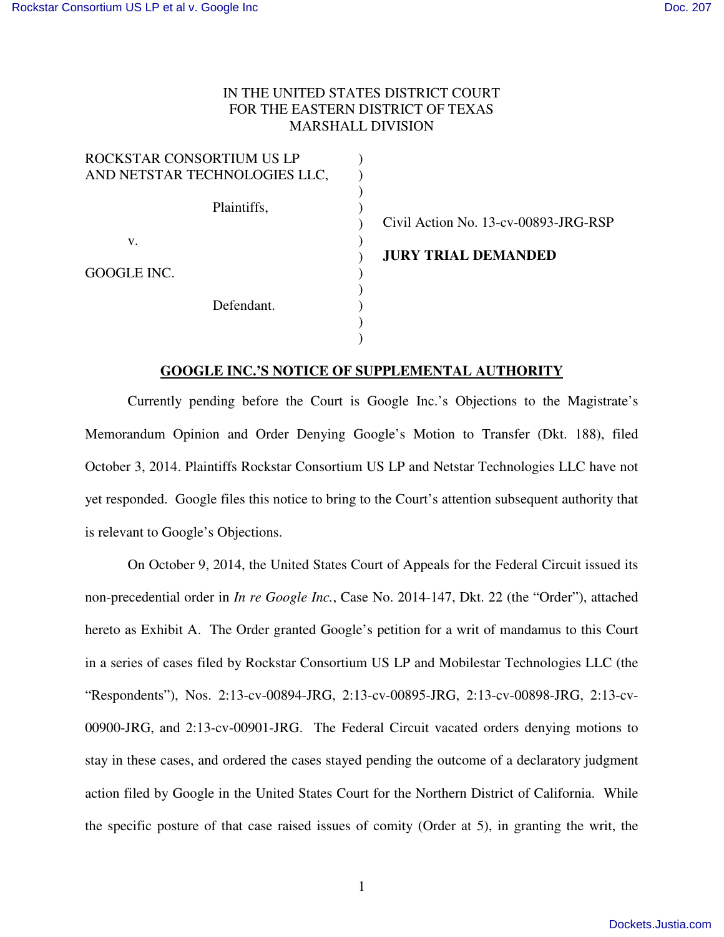## IN THE UNITED STATES DISTRICT COURT FOR THE EASTERN DISTRICT OF TEXAS MARSHALL DIVISION

| ROCKSTAR CONSORTIUM US LP     |  |
|-------------------------------|--|
| AND NETSTAR TECHNOLOGIES LLC, |  |
|                               |  |
| Plaintiffs,                   |  |
|                               |  |
| V.                            |  |
| GOOGLE INC.                   |  |
|                               |  |
| Defendant.                    |  |
|                               |  |
|                               |  |

Civil Action No. 13-cv-00893-JRG-RSP

**JURY TRIAL DEMANDED** 

## **GOOGLE INC.'S NOTICE OF SUPPLEMENTAL AUTHORITY**

Currently pending before the Court is Google Inc.'s Objections to the Magistrate's Memorandum Opinion and Order Denying Google's Motion to Transfer (Dkt. 188), filed October 3, 2014. Plaintiffs Rockstar Consortium US LP and Netstar Technologies LLC have not yet responded. Google files this notice to bring to the Court's attention subsequent authority that is relevant to Google's Objections.

On October 9, 2014, the United States Court of Appeals for the Federal Circuit issued its non-precedential order in *In re Google Inc.*, Case No. 2014-147, Dkt. 22 (the "Order"), attached hereto as Exhibit A. The Order granted Google's petition for a writ of mandamus to this Court in a series of cases filed by Rockstar Consortium US LP and Mobilestar Technologies LLC (the "Respondents"), Nos. 2:13-cv-00894-JRG, 2:13-cv-00895-JRG, 2:13-cv-00898-JRG, 2:13-cv-00900-JRG, and 2:13-cv-00901-JRG. The Federal Circuit vacated orders denying motions to stay in these cases, and ordered the cases stayed pending the outcome of a declaratory judgment action filed by Google in the United States Court for the Northern District of California. While the specific posture of that case raised issues of comity (Order at 5), in granting the writ, the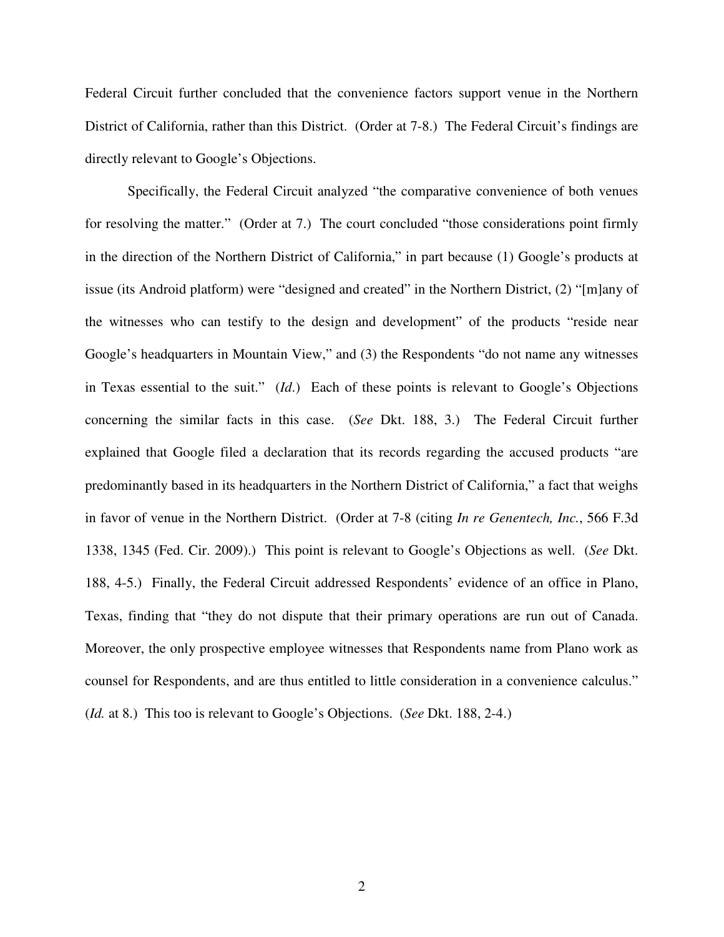Federal Circuit further concluded that the convenience factors support venue in the Northern District of California, rather than this District. (Order at 7-8.) The Federal Circuit's findings are directly relevant to Google's Objections.

Specifically, the Federal Circuit analyzed "the comparative convenience of both venues for resolving the matter." (Order at 7.) The court concluded "those considerations point firmly in the direction of the Northern District of California," in part because (1) Google's products at issue (its Android platform) were "designed and created" in the Northern District, (2) "[m]any of the witnesses who can testify to the design and development" of the products "reside near Google's headquarters in Mountain View," and (3) the Respondents "do not name any witnesses in Texas essential to the suit." (*Id*.) Each of these points is relevant to Google's Objections concerning the similar facts in this case. (*See* Dkt. 188, 3.) The Federal Circuit further explained that Google filed a declaration that its records regarding the accused products "are predominantly based in its headquarters in the Northern District of California," a fact that weighs in favor of venue in the Northern District. (Order at 7-8 (citing *In re Genentech, Inc.*, 566 F.3d 1338, 1345 (Fed. Cir. 2009).) This point is relevant to Google's Objections as well. (*See* Dkt. 188, 4-5.) Finally, the Federal Circuit addressed Respondents' evidence of an office in Plano, Texas, finding that "they do not dispute that their primary operations are run out of Canada. Moreover, the only prospective employee witnesses that Respondents name from Plano work as counsel for Respondents, and are thus entitled to little consideration in a convenience calculus." (*Id.* at 8.) This too is relevant to Google's Objections. (*See* Dkt. 188, 2-4.)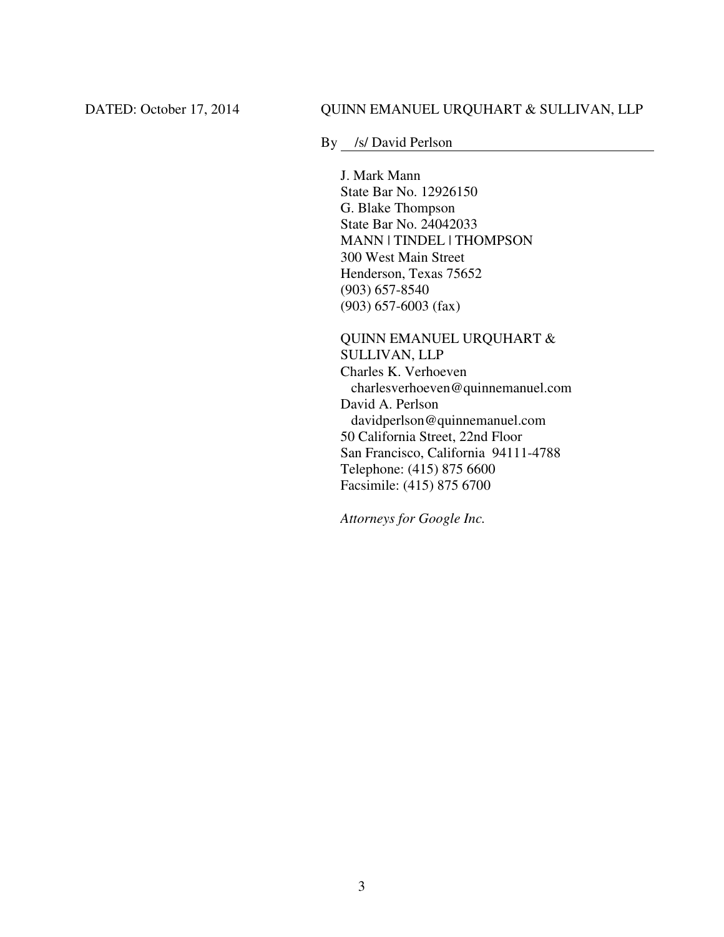By /s/ David Perlson

J. Mark Mann State Bar No. 12926150 G. Blake Thompson State Bar No. 24042033 MANN | TINDEL | THOMPSON 300 West Main Street Henderson, Texas 75652 (903) 657-8540 (903) 657-6003 (fax)

QUINN EMANUEL URQUHART & SULLIVAN, LLP Charles K. Verhoeven charlesverhoeven@quinnemanuel.com David A. Perlson davidperlson@quinnemanuel.com 50 California Street, 22nd Floor San Francisco, California 94111-4788 Telephone: (415) 875 6600 Facsimile: (415) 875 6700

*Attorneys for Google Inc.*